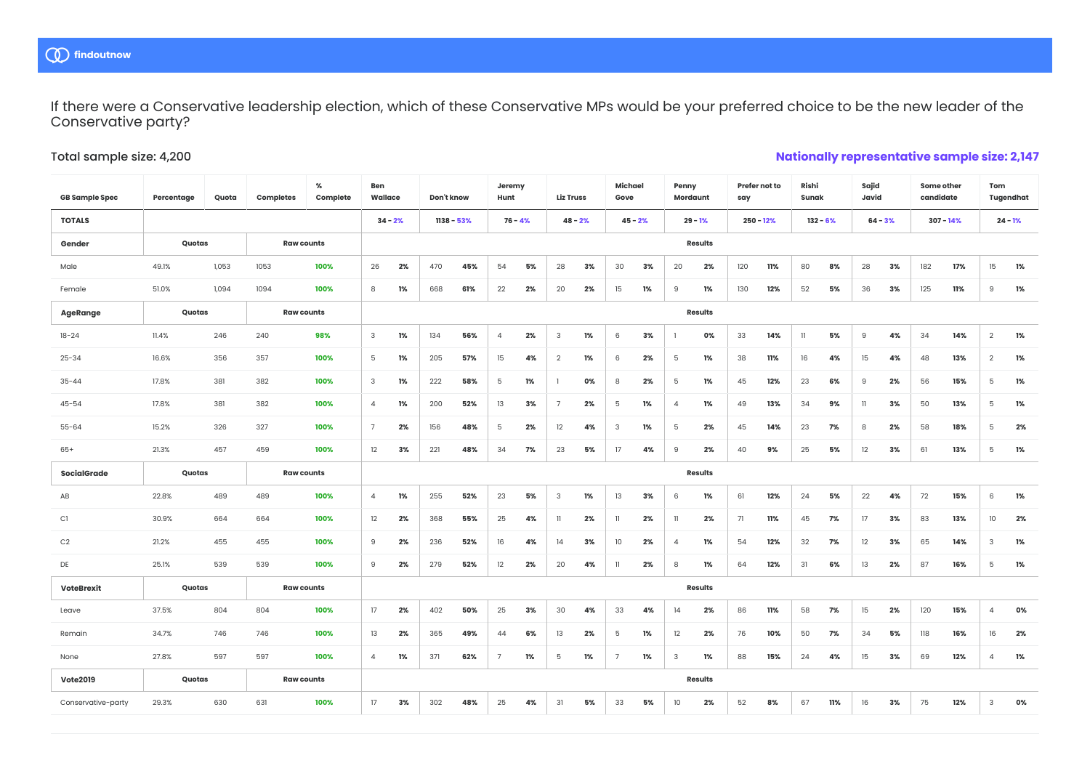If there were a Conservative leadership election, which of these Conservative MPs would be your preferred choice to be the new leader of the Conservative party?

## Total sample size: 4,200

## **Nationally representative sample size: 2,147**

| <b>GB Sample Spec</b> | Percentage | Quota | Completes         | %<br>Complete | Ben<br>Wallace |                | Don't know   |     | Jeremy<br>Hunt  |    | <b>Liz Truss</b> |    | Michael<br>Gove |    |                | Penny<br>Mordaunt |     | Prefer not to<br>say |              | Rishi<br>Sunak |                | Sajid<br>Javid |     | Some other<br>candidate | Tom<br>Tugendhat     |  |
|-----------------------|------------|-------|-------------------|---------------|----------------|----------------|--------------|-----|-----------------|----|------------------|----|-----------------|----|----------------|-------------------|-----|----------------------|--------------|----------------|----------------|----------------|-----|-------------------------|----------------------|--|
| <b>TOTALS</b>         |            |       |                   |               | $34 - 2%$      |                | $1138 - 53%$ |     | $76 - 4%$       |    | $48 - 2%$        |    | $45 - 2%$       |    |                | $29 - 1%$         |     | $250 - 12%$          |              | $132 - 6%$     |                | $64 - 3%$      |     | $307 - 14%$             | $24 - 1%$            |  |
| Gender                | Quotas     |       | <b>Raw counts</b> |               |                |                |              |     |                 |    |                  |    |                 |    | <b>Results</b> |                   |     |                      |              |                |                |                |     |                         |                      |  |
| Male                  | 49.1%      | 1,053 | 1053              | 100%          | 26             | 2%             | 470          | 45% | 54              | 5% | 28               | 3% | 30              | 3% | 20             | 2%                | 120 | 11%                  | 80           | 8%             | 28             | 3%             | 182 | 17%                     | 15<br>1%             |  |
| Female                | 51.0%      | 1,094 | 1094              | 100%          | 8              | 1%             | 668          | 61% | 22              | 2% | 20               | 2% | 15              | 1% | 9              | 1%                | 130 | 12%                  | 52           | 5%             | 36             | 3%             | 125 | 11%                     | 9<br>1%              |  |
| AgeRange              | Quotas     |       | <b>Raw counts</b> |               |                |                |              |     |                 |    |                  |    | <b>Results</b>  |    |                |                   |     |                      |              |                |                |                |     |                         |                      |  |
| $18 - 24$             | 11.4%      | 246   | 240               | 98%           | 3              | 1%             | 134          | 56% | $\overline{4}$  | 2% | 3                | 1% | 6               | 3% |                | 0%                | 33  | 14%                  | $\mathbf{1}$ | 5%             | $\overline{9}$ | 4%             | 34  | 14%                     | $\overline{2}$<br>1% |  |
| $25 - 34$             | 16.6%      | 356   | 357               | 100%          | 5              | 1%             | 205          | 57% | 15              | 4% | $\overline{2}$   | 1% | 6               | 2% | 5              | 1%                | 38  | 11%                  | 16           | 4%             | 15             | 4%             | 48  | 13%                     | $\overline{2}$<br>1% |  |
| $35 - 44$             | 17.8%      | 381   | 382               | 100%          | 3              | 1%             | 222          | 58% | 5               | 1% |                  | 0% | 8               | 2% | 5              | 1%                | 45  | 12%                  | 23           | 6%             | 9              | 2%             | 56  | 15%                     | 5<br>1%              |  |
| $45 - 54$             | 17.8%      | 381   | 382               | 100%          | $\overline{4}$ | 1%             | 200          | 52% | 13              | 3% | 7                | 2% | 5               | 1% | 4              | 1%                | 49  | 13%                  | 34           | 9%             | $\mathbf{1}$   | 3%             | 50  | 13%                     | 5<br>1%              |  |
| $55 - 64$             | 15.2%      | 326   | 327               | 100%          | $\overline{7}$ | 2%             | 156          | 48% | 5               | 2% | 12               | 4% | $\mathbf{3}$    | 1% | 5              | 2%                | 45  | 14%                  | 23           | 7%             | 8              | 2%             | 58  | 18%                     | 5<br>2%              |  |
| $65+$                 | 21.3%      | 457   | 459               | 100%          | 12             | 3%             | 221          | 48% | 34              | 7% | 23               | 5% | 17              | 4% | 9              | 2%                | 40  | 9%                   | 25           | 5%             | 12             | 3%             | 61  | 13%                     | 5<br>1%              |  |
| SocialGrade           | Quotas     |       | <b>Raw counts</b> |               |                | <b>Results</b> |              |     |                 |    |                  |    |                 |    |                |                   |     |                      |              |                |                |                |     |                         |                      |  |
| AB                    | 22.8%      | 489   | 489               | 100%          | $\overline{4}$ | 1%             | 255          | 52% | 23              | 5% | 3                | 1% | 13              | 3% | 6              | 1%                | 61  | 12%                  | 24           | 5%             | 22             | 4%             | 72  | 15%                     | 1%<br>6              |  |
| C1                    | 30.9%      | 664   | 664               | 100%          | 12             | 2%             | 368          | 55% | 25              | 4% | $\mathbf l$      | 2% | 11              | 2% | $\mathbf{1}$   | 2%                | 71  | 11%                  | 45           | 7%             | 17             | 3%             | 83  | 13%                     | 10<br>2%             |  |
| C2                    | 21.2%      | 455   | 455               | 100%          | 9              | 2%             | 236          | 52% | 16              | 4% | 14               | 3% | 10              | 2% | 4              | 1%                | 54  | 12%                  | 32           | 7%             | 12             | 3%             | 65  | 14%                     | 3<br>1%              |  |
| DE                    | 25.1%      | 539   | 539               | 100%          | $\overline{9}$ | 2%             | 279          | 52% | 12              | 2% | 20               | 4% | $\mathbf{1}$    | 2% | 8              | 1%                | 64  | 12%                  | 31           | 6%             | 13             | 2%             | 87  | 16%                     | 5<br>1%              |  |
| <b>VoteBrexit</b>     | Quotas     |       | <b>Raw counts</b> |               |                | <b>Results</b> |              |     |                 |    |                  |    |                 |    |                |                   |     |                      |              |                |                |                |     |                         |                      |  |
| Leave                 | 37.5%      | 804   | 804               | 100%          | 17             | 2%             | 402          | 50% | 25              | 3% | 30               | 4% | 33              | 4% | 14             | 2%                | 86  | 11%                  | 58           | 7%             | 15             | 2%             | 120 | 15%                     | 0%<br>4              |  |
| Remain                | 34.7%      | 746   | 746               | 100%          | 13             | 2%             | 365          | 49% | 44              | 6% | 13               | 2% | 5               | 1% | 12             | 2%                | 76  | 10%                  | 50           | 7%             | 34             | 5%             | 118 | 16%                     | 16<br>2%             |  |
| None                  | 27.8%      | 597   | 597               | 100%          | $\overline{4}$ | 1%             | 371          | 62% | $7\overline{ }$ | 1% | 5                | 1% | $7\overline{ }$ | 1% | 3              | 1%                | 88  | 15%                  | 24           | 4%             | 15             | 3%             | 69  | 12%                     | 1%<br>$\overline{4}$ |  |
| <b>Vote2019</b>       | Quotas     |       | <b>Raw counts</b> |               |                |                |              |     |                 |    |                  |    |                 |    |                | <b>Results</b>    |     |                      |              |                |                |                |     |                         |                      |  |
| Conservative-party    | 29.3%      | 630   | 631               | 100%          | 17             | 3%             | 302          | 48% | 25              | 4% | 31               | 5% | 33              | 5% | 10             | 2%                | 52  | 8%                   | 67           | 11%            | 16             | 3%             | 75  | 12%                     | 3<br>0%              |  |